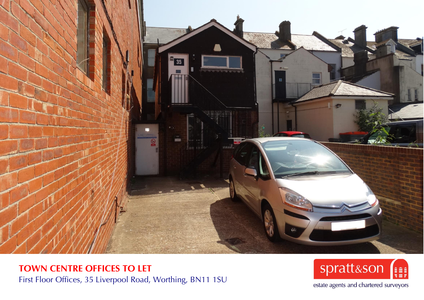

**TOWN CENTRE OFFICES TO LET** First Floor Offices, 35 Liverpool Road, Worthing, BN11 1SU



estate agents and chartered surveyors